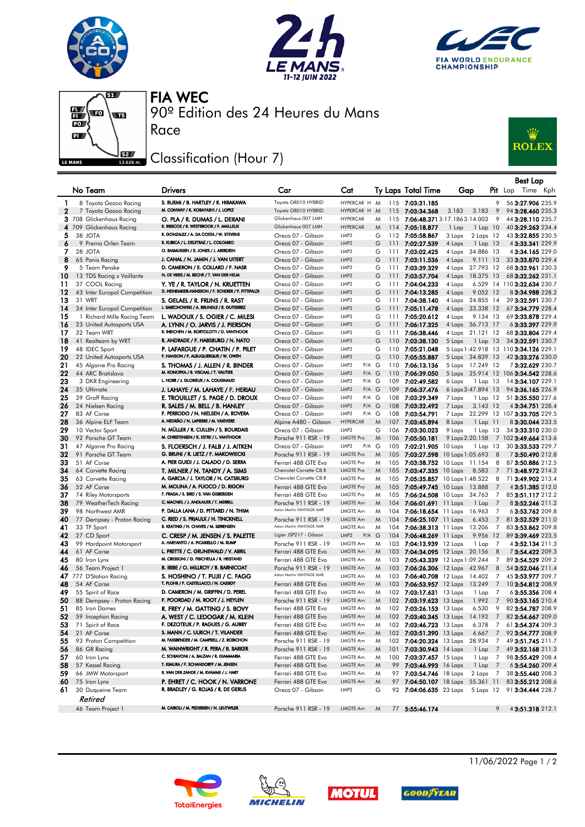







90º Edition des 24 Heures du Mans FIA WEC

## Classification (Hour 7)

Race



|          |                                           |                                                                                |                                                  |                                                        |        |            |                                                   |                                  |                                  | Best Lap                                           |
|----------|-------------------------------------------|--------------------------------------------------------------------------------|--------------------------------------------------|--------------------------------------------------------|--------|------------|---------------------------------------------------|----------------------------------|----------------------------------|----------------------------------------------------|
|          | No Team                                   | <b>Drivers</b>                                                                 | Car                                              | Cat                                                    |        |            | Ty Laps Total Time                                | Gap                              |                                  | <b>Pit</b> Lap Time Kph                            |
| 1        | 8 Toyota Gazoo Racing                     | S. BUEMI / B. HARTLEY / R. HIRAKAWA                                            | Toyota GR010 HYBRID                              | HYPERCAR H M                                           |        |            | 115 7:03:31.185                                   |                                  | 9                                | 56 3:27.906 235.9                                  |
| 2        | 7 Toyota Gazoo Racing                     | M. CONWAY / K. KOBAYASHI / J. LOPEZ                                            | Toyota GR010 HYBRID                              | HYPERCAR H M                                           |        |            | 115 7:03:34.368                                   | 3.183<br>3.183                   | 9                                | 94 3:28.460 235.3                                  |
|          | 3 708 Glickenhaus Racing                  | O. PLA / R. DUMAS / L. DERANI<br>R. BRISCOE / R. WESTBROOK / F. MAILLEUX       | Glickenhaus 007 LMH                              | <b>HYPERCAR</b>                                        | M      |            |                                                   | 115 7:06:48.3713:17.1863:14.003  | 9                                | 44 3:28.110 235.7                                  |
|          | 4 709 Glickenhaus Racing                  | R. GONZALEZ / A. DA COSTA / W. STEVENS                                         | Glickenhaus 007 LMH                              | <b>HYPERCAR</b>                                        | M      |            | 114 7:05:18.877                                   | 1 Lap                            | $1$ Lap $10$                     | 40 3:29.263 234.4                                  |
| 5        | 38 JOTA                                   | R. KUBICA / L. DELETRAZ / L. COLOMBO                                           | Oreca 07 - Gibson                                | LMP <sub>2</sub><br>LMP <sub>2</sub>                   | G      |            | 112 7:05:58.867                                   | 3 Laps                           | 2 Laps 12                        | 43 3:32.855 230.5                                  |
| 6<br>7   | 9 Prema Orlen Team<br>28 JOTA             | O. RASMUSSEN / E. JONES / J. ABERDEIN                                          | Oreca 07 - Gibson                                | LMP <sub>2</sub>                                       | G<br>G | 111<br>111 | 7:02:27.539<br>7:03:02.425                        | 4 Laps                           | 1 Lap 13                         | 4 3:33.341 229.9<br>4 3:34.165 229.0               |
| 8        | 65 Panis Racing                           | J. CANAL / N. JAMIN / J. VAN UITERT                                            | Oreca 07 - Gibson<br>Oreca 07 - Gibson           | LMP <sub>2</sub>                                       | G      |            | 111 7:03:11.536                                   | 4 Laps 34.886 13<br>4 Laps       | 9.111 13                         | 33 3:33.870 229.4                                  |
| 9        | 5 Team Penske                             | D. CAMERON / E. COLLARD / F. NASR                                              | Oreca 07 - Gibson                                | LMP <sub>2</sub>                                       | G      | 111        | 7:03:39.329                                       | 4 Laps 27.793 12                 |                                  | 68 3:32.961 230.3                                  |
| 10       | 13 TDS Racing x Vaillante                 | N. DE VRIES / M. BECHE / T. VAN DER HELM                                       | Oreca 07 - Gibson                                | LMP <sub>2</sub>                                       | G      | 111        | 7:03:57.704                                       | 4 Laps 18.375 13                 |                                  | 68 3:32.262 231.1                                  |
| 11       | 37 COOL Racing                            | Y. YE / R. TAYLOR / N. KRUETTEN                                                | Oreca 07 - Gibson                                | LMP <sub>2</sub>                                       | G      | 111        | 7:04:04.233                                       | 4 Laps                           |                                  | 6.529 14 110 3:32.634 230.7                        |
| 12       | 43 Inter Europol Competition              | D. HEINEMEIER-HANSSON / F. SCHERER / P. FITTIPALDI                             | Oreca 07 - Gibson                                | LMP <sub>2</sub>                                       | G      | 111        | 7:04:13.285                                       | 4 Laps                           | 9.052 12                         | 83:34.988 228.2                                    |
| 13       | 31 WRT                                    | S. GELAEL / R. FRIJNS / R. RAST                                                | Oreca 07 - Gibson                                | LMP <sub>2</sub>                                       | G      | 111        | 7:04:38.140                                       | 4 Laps 24.855 14                 |                                  | 39 3:32.591 230.7                                  |
| 14       | 34 Inter Europol Competition              | J. SMIECHOWSKI / A. BRUNDLE / E. GUTIERREZ                                     | Oreca 07 - Gibson                                | LMP <sub>2</sub>                                       | G      | 111        | 7:05:11.478                                       | 4 Laps 33.338 12                 |                                  | 67 3:34.779 228.4                                  |
| 15       | 1 Richard Mille Racing Team               | L. WADOUX / S. OGIER / C. MILESI                                               | Oreca 07 - Gibson                                | LMP <sub>2</sub>                                       | G      | 111        | 7:05:20.612                                       | 4 Laps                           | 9.134 13                         | 69 3:33.878 229.4                                  |
| 16       | 23 United Autosports USA                  | A. LYNN / O. JARVIS / J. PIERSON                                               | Oreca 07 - Gibson                                | LMP <sub>2</sub>                                       | G      |            | 111 7:06:17.325                                   | 4 Laps 56.713 17                 |                                  | 63:33.397 229.9                                    |
| 17       | 32 Team WRT                               | R. INEICHEN / M. BORTOLOTTI / D. VANTHOOR                                      | Oreca 07 - Gibson                                | LMP <sub>2</sub>                                       | G      | 111        | 7:06:38.446                                       | 4 Laps 21.121 12                 |                                  | 68 3:33.804 229.4                                  |
| 18       | 41 Realteam by WRT                        | R. ANDRADE / F. HABSBURG / N. NATO                                             | Oreca 07 - Gibson                                | LMP <sub>2</sub>                                       | G      | 110        | 7:03:38.130                                       | 5 Laps                           | 1 Lap 13                         | 34 3:32.591 230.7                                  |
| 19       | 48 IDEC Sport                             | P. LAFARGUE / P. CHATIN / P. PILET                                             | Oreca 07 - Gibson                                | LMP <sub>2</sub>                                       | G      | 110        | 7:05:21.048                                       |                                  |                                  | 5 Laps 1:42.918 13 110 3:34.126 229.1              |
| 20       | 22 United Autosports USA                  | P. HANSON / F. ALBUQUERQUE / W. OWEN                                           | Oreca 07 - Gibson                                | LMP <sub>2</sub>                                       | G      | 110        | 7:05:55.887                                       | 5 Laps 34.839 13                 |                                  | 42 3:33.276 230.0                                  |
| 21       | 45 Algarve Pro Racing                     | S. THOMAS / J. ALLEN / R. BINDER<br>M. KONOPKA / B. VISCAAL / T. VAUTIER       | Oreca 07 - Gibson                                | LMP <sub>2</sub><br>P/A G                              |        |            | 110 7:06:13.136                                   | 5 Laps 17.249 12                 |                                  | 73:32.629 230.7                                    |
| 22       | 44 ARC Bratislava                         | L. HORR / J. GLORIEUX / A. COUGNAUD                                            | Oreca 07 - Gibson                                | LMP <sub>2</sub><br>P/A G                              |        | 110        | 7:06:39.050                                       |                                  |                                  | 5 Laps 25.914 12 106 3:34.542 228.6                |
| 23       | 3 DKR Engineering                         |                                                                                | Oreca 07 - Gibson                                | LMP <sub>2</sub><br>P/A G                              |        | 109        | 7:02:49.582                                       | 6 Laps                           | $1$ Lap $13$                     | 14 3:34.107 229.1                                  |
| 24<br>25 | 35 Ultimate<br>39 Graff Racing            | J. LAHAYE / M. LAHAYE / F. HERIAU<br>E. TROUILLET / S. PAGE / D. DROUX         | Oreca 07 - Gibson<br>Oreca 07 - Gibson           | LMP <sub>2</sub><br>P/A G<br>LMP <sub>2</sub><br>P/A G |        | 108        | 109 7:06:37.476<br>7:03:29.349                    | 6 Laps 3:47.894 13<br>7 Laps     | $1$ Lap $12$                     | 94 3:36.165 226.9<br>51 3:35.550 227.6             |
| 26       | 24 Nielsen Racing                         | R. SALES / M. BELL / B. HANLEY                                                 | Oreca 07 - Gibson                                | LMP <sub>2</sub><br>P/A G                              |        | 108        | 7:03:32.492                                       | 7 Laps                           | 3.143 12                         | 43:34.751 228.4                                    |
| 27       | 83 AF Corse                               | F. PERRODO / N. NIELSEN / A. ROVERA                                            | Oreca 07 - Gibson                                | LMP <sub>2</sub><br>P/A G                              |        | 108        | 7:03:54.791                                       | 7 Laps                           |                                  | 22.299 12 107 3:33.705 229.5                       |
| 28       | 36 Alpine ELF Team                        | A. NEGRÃO / N. LAPIERRE / M. VAXIVIERE                                         | Alpine A480 - Gibson                             | <b>HYPERCAR</b>                                        | M      | 107        | 7:03:45.894                                       | 8 Laps                           | $1$ Lap $11$                     | 83:30.044 233.5                                    |
| 29       | 10 Vector Sport                           | N. MÜLLER / R. CULLEN / S. BOURDAIS                                            | Oreca 07 - Gibson                                | LMP <sub>2</sub>                                       | G      | 106        | 7:03:30.023                                       | 9 Laps                           | 1 Lap 13                         | 34 3:33.310 230.0                                  |
| 30       | 92 Porsche GT Team                        | M. CHRISTENSEN / K. ESTRE / L. VANTHOOR                                        | Porsche 911 RSR - 19                             | LMGTE Pro                                              | M      | 106        | 7:05:50.181                                       | 9 Laps 2:20.158                  |                                  | 7 102 3:49.664 213.6                               |
| 31       | 47 Algarve Pro Racing                     | S. FLOERSCH / J. FALB / J. AITKEN                                              | Oreca 07 - Gibson                                | LMP <sub>2</sub><br>$P/A$ $G$                          |        | 105        | 7:02:21.905 10 Laps                               |                                  | 1 Lap 13                         | 30 3:33.533 229.7                                  |
| 32       | 91 Porsche GT Team                        | G. BRUNI / R. LIETZ / F. MAKOWIECKI                                            | Porsche 911 RSR - 19                             | <b>LMGTE Pro</b>                                       | M      |            |                                                   | 105 7:03:27.598 10 Laps 1:05.693 | 8                                | 73:50.490 212.8                                    |
| 33       | 51 AF Corse                               | A. PIER GUIDI / J. CALADO / D. SERRA                                           | Ferrari 488 GTE Evo                              | <b>LMGTE Pro</b>                                       | M      | 105        |                                                   | 7:03:38.752 10 Laps 11.154       | 8                                | 87 3:50.886 212.5                                  |
| 34       | 64 Corvette Racing                        | T. MILNER / N. TANDY / A. SIMS                                                 | Chevrolet Corvette C8.R                          | <b>LMGTE Pro</b>                                       | M      |            | 105 7:03:47.335 10 Laps                           | 8.583                            | $\overline{7}$                   | 71 3:48.972 214.2                                  |
| 35       | 63 Corvette Racing                        | A. GARCIA / J. TAYLOR / N. CATSBURG                                            | Chevrolet Corvette C8.R                          | <b>LMGTE Pro</b>                                       | M      |            |                                                   | 105 7:05:35.857 10 Laps 1:48.522 | 8                                | 71 3:49.902 213.4                                  |
| 36       | 52 AF Corse                               | M. MOLINA / A. FUOCO / D. RIGON                                                | Ferrari 488 GTE Evo                              | <b>LMGTE Pro</b>                                       | M      |            |                                                   | 105 7:05:49.745 10 Laps 13.888   | 7                                | 4 3:51.385 212.0                                   |
| 37       | 74 Riley Motorsports                      | F. FRAGA / S. BIRD / S. VAN GISBERGEN                                          | Ferrari 488 GTE Evo                              | <b>LMGTE Pro</b>                                       | M      | 105        |                                                   | 7:06:24.508 10 Laps 34.763       | $\overline{7}$                   | 85 3:51.117 212.2                                  |
| 38       | 79 WeatherTech Racing                     | C. MACNEIL / J. ANDLAUER / T. MERRILL                                          | Porsche 911 RSR - 19<br>Aston Martin VANTAGE AMR | LMGTE Am                                               | M      |            | 104 7:06:01.691 11 Laps                           | 1 Lap                            | $\overline{7}$                   | 83:52.246 211.2                                    |
| 39       | 98 Northwest AMR                          | P. DALLA LANA / D. PITTARD / N. THIM<br>C. RIED / S. PRIAULX / H. TINCKNELL    |                                                  | LMGTE Am<br>LMGTE Am                                   | M      | 104        | 7:06:18.654 11 Laps                               | 16.963                           | $\overline{7}$                   | 63:53.762 209.8                                    |
| 40<br>41 | 77 Dempsey - Proton Racing<br>33 TF Sport | B. KEATING / H. CHAVES / M. SØRENSEN                                           | Porsche 911 RSR - 19<br>Aston Martin VANTAGE AMR | LMGTE Am                                               | M<br>M | 104        | 104 7:06:25.107 11 Laps<br>7:06:38.313 11 Laps    | 6.453<br>13.206                  | $\overline{7}$<br>$\overline{7}$ | 81 3:52.529 211.0<br>83 3:53.862 209.8             |
| 42       | 27 CD Sport                               | C. CRESP / M. JENSEN / S. PALETTE                                              | Ligier JSP217 - Gibson                           | LMP <sub>2</sub><br>$P/A$ $G$                          |        |            | 104 7:06:48.269 11 Laps                           |                                  | 9.956 12                         | 89 3:39.469 223.5                                  |
| 43       | 99 Hardpoint Motorsport                   | A. HARYANTO / A. PICARIELLO / M. RUMP                                          | Porsche 911 RSR - 19                             | LMGTE Am                                               | M      |            | 103 7:04:13.939 12 Laps                           | 1 Lap                            | $\overline{7}$                   | 4 3:52.134 211.3                                   |
| 44       | 61 AF Corse                               | L. PRETTE / C. GRUNEWALD / V. ABRIL                                            | Ferrari 488 GTE Evo                              | LMGTE Am                                               | M      |            |                                                   | 103 7:04:34.095 12 Laps 20.156   | 8                                | 73:54.422 209.3                                    |
| 45       | 80 Iron Lynx                              | M. CRESSONI / G. FISICHELLA / R. HEISTAND                                      | Ferrari 488 GTE Evo                              | LMGTE Am                                               | M      | 103        |                                                   | 7:05:43.339 12 Laps 1:09.244     | 7                                | 89 3:54.529 209.2                                  |
| 46       | 56 Team Project 1                         | B. IRIBE / O. MILLROY / B. BARNICOAT                                           | Porsche 911 RSR - 19                             | <b>LMGTE Am</b>                                        | M      | 103        |                                                   | 7:06:26.306 12 Laps 42.967       | 8                                | 54 3:52.046 211.4                                  |
|          | 47 777 D'Station Racing                   | S. HOSHINO / T. FUJII / C. FAGG                                                | Aston Martin VANTAGE AMR                         | LMGTE Am                                               | M      | 103        |                                                   | 7:06:40.708 12 Laps 14.402       | 7                                | 45 3:53.977 209.7                                  |
| 48       | 54 AF Corse                               | T. FLOHR / F. CASTELLACCI / N. CASSIDY                                         | Ferrari 488 GTE Evo                              | LMGTE Am                                               | M      |            | 103 7:06:53.957 12 Laps                           | 13.249                           | $\overline{7}$                   | 10 3:54.812 208.9                                  |
| 49       | 55 Spirit of Race                         | D. CAMERON / M. GRIFFIN / D. PEREL                                             | Ferrari 488 GTE Evo                              | LMGTE Am                                               | M      |            | 102 7:03:17.631 13 Laps                           | 1 Lap                            | $\overline{7}$                   | 63:55.356 208.4                                    |
| 50       | 88 Dempsey - Proton Racing                | F. POORDAD / M. ROOT / J. HEYLEN                                               | Porsche 911 RSR - 19                             | LMGTE Am                                               | M      |            | 102 7:03:19.623 13 Laps                           | 1.992 7                          |                                  | 90 3:53.165 210.4                                  |
| 51       | 85 Iron Dames                             | R. FREY / M. GATTING / S. BOVY                                                 | Ferrari 488 GTE Evo                              | LMGTE Am                                               | M      |            |                                                   | 102 7:03:26.153 13 Laps 6.530 9  |                                  | 82 3:54.787 208.9                                  |
| 52       | 59 Inception Racing                       | A. WEST / C. LEDOGAR / M. KLEIN                                                | Ferrari 488 GTE Evo                              | LMGTE Am                                               | M      |            |                                                   |                                  |                                  | 102 7:03:40.345 13 Laps 14.192 7 82 3:54.667 209.0 |
| 53       | 71 Spirit of Race                         | F. DEZOTEUX / P. RAGUES / G. AUBRY                                             | Ferrari 488 GTE Evo                              | LMGTE Am                                               | M      |            | 102 7:03:46.723 13 Laps                           |                                  | 6.378 7                          | 61 3:54.374 209.3                                  |
| 54       | 21 AF Corse                               | S. MANN / C. ULRICH / T. VILANDER<br>M. FASSBENDER / M. CAMPBELL / Z. ROBICHON | Ferrari 488 GTE Evo                              | LMGTE Am                                               | M      |            | 102 7:03:51.390 13 Laps                           |                                  | 4.667 7                          | 92 3:54.777 208.9                                  |
| 55       | 93 Proton Competition                     |                                                                                | Porsche 911 RSR - 19                             | LMGTE Am                                               | M      |            |                                                   | 102 7:04:20.324 13 Laps 28.934 7 |                                  | 49 3:51.745 211.7                                  |
| 56       | 86 GR Racing<br>60 Iron Lynx              | M. WAINWRIGHT / R. PERA / B. BARKER<br>C. SCHIAVONI / A. BALZAN / R. GIAMMARIA | Porsche 911 RSR - 19                             | LMGTE Am                                               | M      |            | 101 7:03:30.943 14 Laps                           |                                  | $1$ Lap $7$                      | 49 3:52.168 211.3                                  |
| 57<br>58 | 57 Kessel Racing                          | T. KIMURA / F. SCHANDORFF / M. JENSEN                                          | Ferrari 488 GTE Evo<br>Ferrari 488 GTE Evo       | LMGTE Am<br>LMGTE Am                                   | M<br>M |            | 100 7:03:37.457 15 Laps<br>99 7:03:46.993 16 Laps |                                  | $1$ Lap $7$<br>$1$ Lap 7         | 98 3:55.429 208.4<br>6 3:54.260 209.4              |
| 59       | 66 JMW Motorsport                         | R. VAN DER ZANDE / M. KVAMME / J. HART                                         | Ferrari 488 GTE Evo                              | LMGTE Am                                               | M      |            | 97 7:03:54.746 18 Laps                            |                                  | 2 Laps 7                         | 38 3:55.440 208.3                                  |
| 60       | 75 Iron Lynx                              | P. EHRET / C. HOOK / N. VARRONE                                                | Ferrari 488 GTE Evo                              | LMGTE Am                                               | M      |            |                                                   | 97 7:04:50.107 18 Laps 55.361 11 |                                  | 83 3:55.212 208.6                                  |
| 61       | 30 Duqueine Team                          | R. BRADLEY / G. ROJAS / R. DE GERUS                                            | Oreca 07 - Gibson                                | LMP2                                                   | G      |            |                                                   |                                  |                                  | 92 7:04:06.635 23 Laps 5 Laps 12 91 3:34.444 228.7 |
|          | Retired                                   |                                                                                |                                                  |                                                        |        |            |                                                   |                                  |                                  |                                                    |
|          | 46 Team Project 1                         | M. CAIROLI / M. PEDERSEN / N. LEUTWILER                                        | Porsche 911 RSR - 19                             | LMGTE Am                                               | M      |            | 77 5:55:46.174                                    |                                  | 9                                | 43:51.318 212.1                                    |
|          |                                           |                                                                                |                                                  |                                                        |        |            |                                                   |                                  |                                  |                                                    |